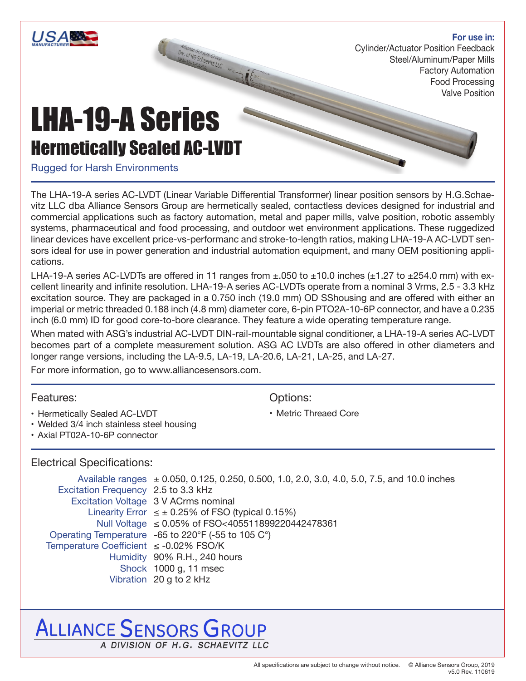## **For use in:**

Cylinder/Actuator Position Feedback Steel/Aluminum/Paper Mills Factory Automation Food Processing Valve Position

# LHA-19-A Series Hermetically Sealed AC-LVDT

## Rugged for Harsh Environments

The LHA-19-A series AC-LVDT (Linear Variable Differential Transformer) linear position sensors by H.G.Schaevitz LLC dba Alliance Sensors Group are hermetically sealed, contactless devices designed for industrial and commercial applications such as factory automation, metal and paper mills, valve position, robotic assembly systems, pharmaceutical and food processing, and outdoor wet environment applications. These ruggedized linear devices have excellent price-vs-performanc and stroke-to-length ratios, making LHA-19-A AC-LVDT sensors ideal for use in power generation and industrial automation equipment, and many OEM positioning applications.

LHA-19-A series AC-LVDTs are offered in 11 ranges from  $\pm$ .050 to  $\pm$ 10.0 inches ( $\pm$ 1.27 to  $\pm$ 254.0 mm) with excellent linearity and infinite resolution. LHA-19-A series AC-LVDTs operate from a nominal 3 Vrms, 2.5 - 3.3 kHz excitation source. They are packaged in a 0.750 inch (19.0 mm) OD SShousing and are offered with either an imperial or metric threaded 0.188 inch (4.8 mm) diameter core, 6-pin PTO2A-10-6P connector, and have a 0.235 inch (6.0 mm) ID for good core-to-bore clearance. They feature a wide operating temperature range.

When mated with ASG's industrial AC-LVDT DIN-rail-mountable signal conditioner, a LHA-19-A series AC-LVDT becomes part of a complete measurement solution. ASG AC LVDTs are also offered in other diameters and longer range versions, including the LA-9.5, LA-19, LA-20.6, LA-21, LA-25, and LA-27.

For more information, go to www.alliancesensors.com.

## Features:

- Hermetically Sealed AC-LVDT
- Welded 3/4 inch stainless steel housing
- Axial PT02A-10-6P connector

## Electrical Specifications:

Available ranges  $\pm 0.050$ , 0.125, 0.250, 0.500, 1.0, 2.0, 3.0, 4.0, 5.0, 7.5, and 10.0 inches Excitation Frequency 2.5 to 3.3 kHz Excitation Voltage 3 V ACrms nominal Linearity Error  $\leq \pm 0.25\%$  of FSO (typical 0.15%) Null Voltage ≤ 0.05% of FSO<405511899220442478361 Operating Temperature -65 to 220°F (-55 to 105 C°) Temperature Coefficient ≤ -0.02% FSO/K Humidity 90% R.H., 240 hours Shock 1000 g, 11 msec Vibration 20 g to 2 kHz

## **ALLIANCE SENSORS GROUP** A DIVISION OF H.G. SCHAEVITZ LLC

• Metric Threaed Core

Options: